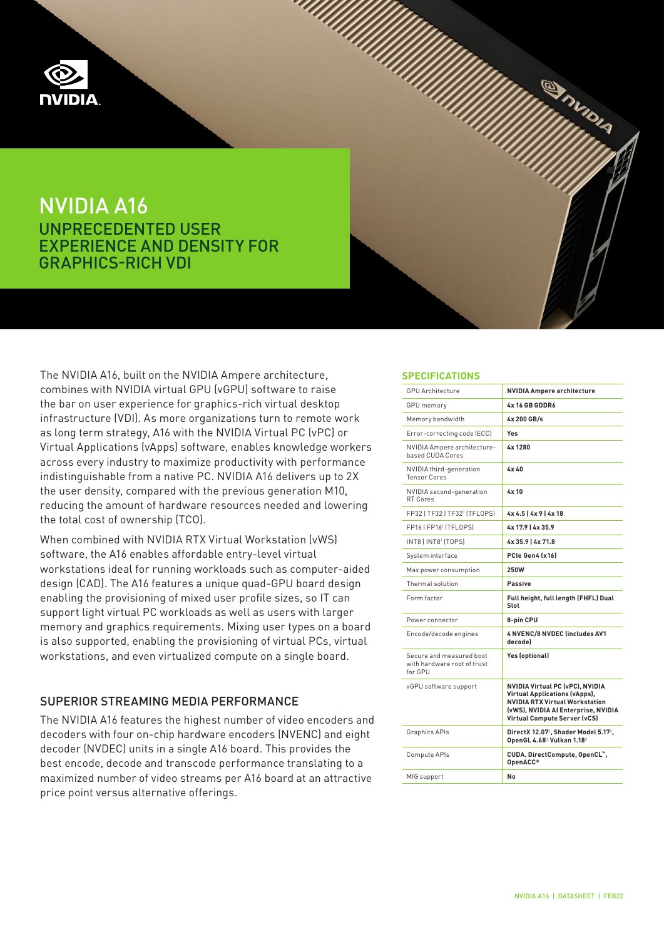

# NVIDIA A16 UNPRECEDENTED USER EXPERIENCE AND DENSITY FOR GRAPHICS-RICH VDI



When combined with NVIDIA RTX Virtual Workstation (vWS) software, the A16 enables affordable entry-level virtual workstations ideal for running workloads such as computer-aided design (CAD). The A16 features a unique quad-GPU board design enabling the provisioning of mixed user profile sizes, so IT can support light virtual PC workloads as well as users with larger memory and graphics requirements. Mixing user types on a board is also supported, enabling the provisioning of virtual PCs, virtual workstations, and even virtualized compute on a single board.

## SUPERIOR STREAMING MEDIA PERFORMANCE

The NVIDIA A16 features the highest number of video encoders and decoders with four on-chip hardware encoders (NVENC) and eight decoder (NVDEC) units in a single A16 board. This provides the best encode, decode and transcode performance translating to a maximized number of video streams per A16 board at an attractive price point versus alternative offerings.

### **SPECIFICATIONS**

| <b>GPU Architecture</b>                                            | <b>NVIDIA Ampere architecture</b>                                                                                                                                                       |
|--------------------------------------------------------------------|-----------------------------------------------------------------------------------------------------------------------------------------------------------------------------------------|
| <b>GPU</b> memory                                                  | 4x 16 GB GDDR6                                                                                                                                                                          |
| Memory bandwidth                                                   | 4x 200 GB/s                                                                                                                                                                             |
| Error-correcting code (ECC)                                        | Yes                                                                                                                                                                                     |
| NVIDIA Ampere architecture-<br>based CUDA Cores                    | 4x 1280                                                                                                                                                                                 |
| NVIDIA third-generation<br><b>Tensor Cores</b>                     | 4x40                                                                                                                                                                                    |
| NVIDIA second-generation<br>RT Cores                               | 4x 10                                                                                                                                                                                   |
| FP32   TF32   TF32 <sup>1</sup> [TFLOPS]                           | $4x 4.5$   $4x 9$   $4x 18$                                                                                                                                                             |
| FP16   FP161 (TFLOPS)                                              | 4x 17.9   4x 35.9                                                                                                                                                                       |
| INT8   INT8 <sup>1</sup> (TOPS)                                    | 4x 35.9   4x 71.8                                                                                                                                                                       |
| System interface                                                   | PCIe Gen4 (x16)                                                                                                                                                                         |
| Max power consumption                                              | 250W                                                                                                                                                                                    |
| Thermal solution                                                   | <b>Passive</b>                                                                                                                                                                          |
| Form factor                                                        | Full height, full length (FHFL) Dual<br>Slot                                                                                                                                            |
| Power connector                                                    | 8-pin CPU                                                                                                                                                                               |
| Encode/decode engines                                              | <b>4 NVENC/8 NVDEC lincludes AV1</b><br>decodel                                                                                                                                         |
| Secure and measured boot<br>with hardware root of trust<br>for GPU | Yes (optional)                                                                                                                                                                          |
| vGPU software support                                              | NVIDIA Virtual PC (vPC), NVIDIA<br><b>Virtual Applications (vApps).</b><br><b>NVIDIA RTX Virtual Workstation</b><br>(vWS), NVIDIA AI Enterprise, NVIDIA<br>Virtual Compute Server (vCS) |
| Graphics APIs                                                      | DirectX 12.07 <sup>2</sup> , Shader Model 5.17 <sup>2</sup> ,<br>OpenGL 4.68 <sup>3</sup> Vulkan 1.18 <sup>3</sup>                                                                      |
| Compute APIs                                                       | CUDA, DirectCompute, OpenCL",<br>OpenACC <sup>®</sup>                                                                                                                                   |
| MIG support                                                        | No                                                                                                                                                                                      |

**Shipping**